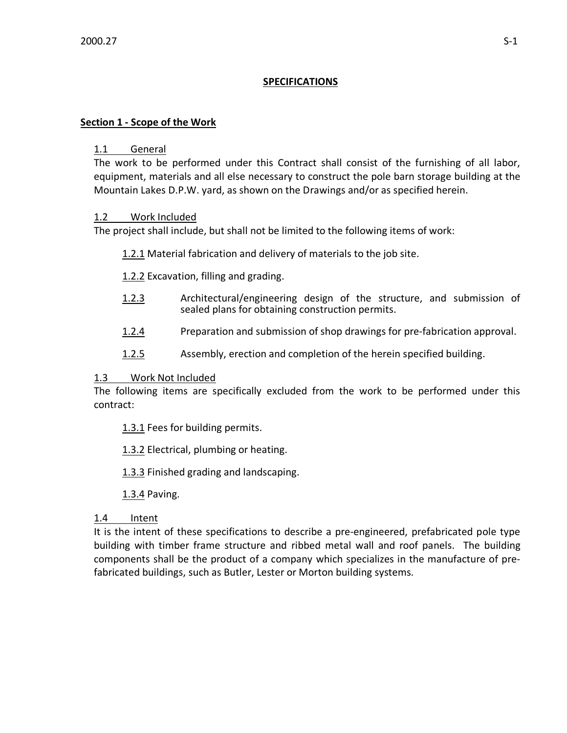# **SPECIFICATIONS**

## **Section 1 - Scope of the Work**

### 1.1 General

The work to be performed under this Contract shall consist of the furnishing of all labor, equipment, materials and all else necessary to construct the pole barn storage building at the Mountain Lakes D.P.W. yard, as shown on the Drawings and/or as specified herein.

## 1.2 Work Included

The project shall include, but shall not be limited to the following items of work:

1.2.1 Material fabrication and delivery of materials to the job site.

1.2.2 Excavation, filling and grading.

- 1.2.3 Architectural/engineering design of the structure, and submission of sealed plans for obtaining construction permits.
- 1.2.4 Preparation and submission of shop drawings for pre-fabrication approval.
- 1.2.5 Assembly, erection and completion of the herein specified building.

## 1.3 Work Not Included

The following items are specifically excluded from the work to be performed under this contract:

1.3.1 Fees for building permits.

1.3.2 Electrical, plumbing or heating.

1.3.3 Finished grading and landscaping.

1.3.4 Paving.

## 1.4 Intent

It is the intent of these specifications to describe a pre-engineered, prefabricated pole type building with timber frame structure and ribbed metal wall and roof panels. The building components shall be the product of a company which specializes in the manufacture of prefabricated buildings, such as Butler, Lester or Morton building systems.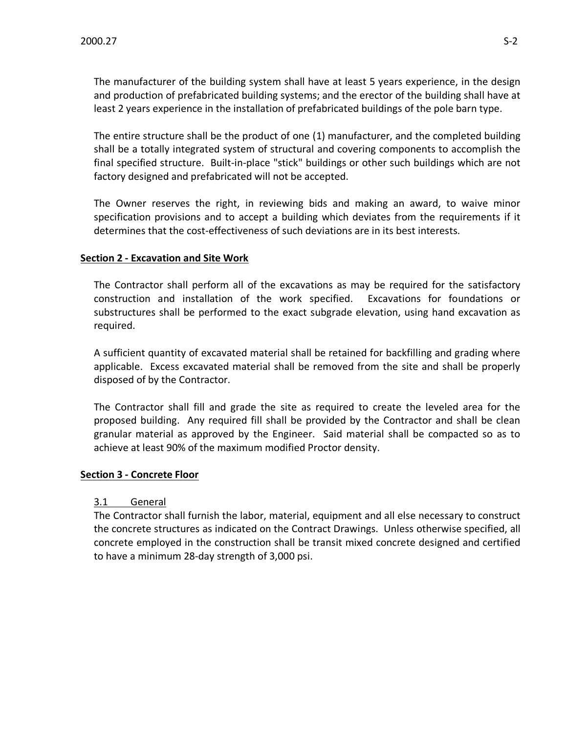The manufacturer of the building system shall have at least 5 years experience, in the design and production of prefabricated building systems; and the erector of the building shall have at least 2 years experience in the installation of prefabricated buildings of the pole barn type.

The entire structure shall be the product of one (1) manufacturer, and the completed building shall be a totally integrated system of structural and covering components to accomplish the final specified structure. Built-in-place "stick" buildings or other such buildings which are not factory designed and prefabricated will not be accepted.

The Owner reserves the right, in reviewing bids and making an award, to waive minor specification provisions and to accept a building which deviates from the requirements if it determines that the cost-effectiveness of such deviations are in its best interests.

### **Section 2 - Excavation and Site Work**

The Contractor shall perform all of the excavations as may be required for the satisfactory construction and installation of the work specified. Excavations for foundations or substructures shall be performed to the exact subgrade elevation, using hand excavation as required.

A sufficient quantity of excavated material shall be retained for backfilling and grading where applicable. Excess excavated material shall be removed from the site and shall be properly disposed of by the Contractor.

The Contractor shall fill and grade the site as required to create the leveled area for the proposed building. Any required fill shall be provided by the Contractor and shall be clean granular material as approved by the Engineer. Said material shall be compacted so as to achieve at least 90% of the maximum modified Proctor density.

### **Section 3 - Concrete Floor**

### 3.1 General

The Contractor shall furnish the labor, material, equipment and all else necessary to construct the concrete structures as indicated on the Contract Drawings. Unless otherwise specified, all concrete employed in the construction shall be transit mixed concrete designed and certified to have a minimum 28-day strength of 3,000 psi.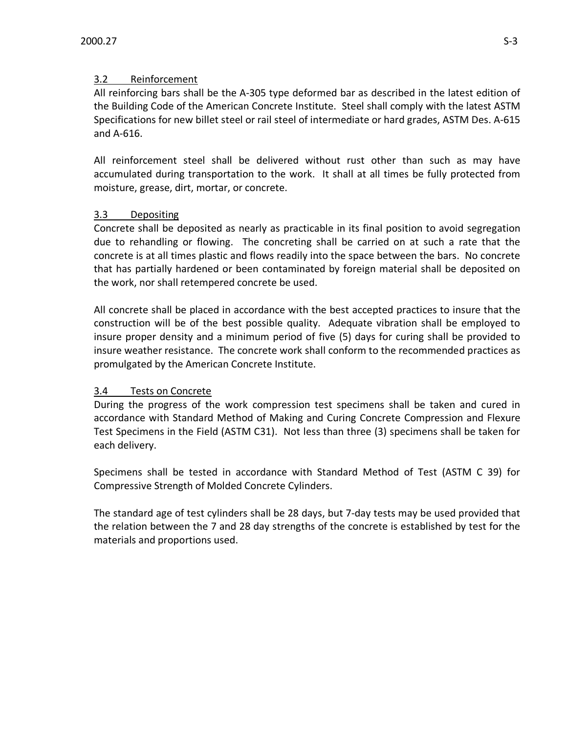# 3.2 Reinforcement

All reinforcing bars shall be the A-305 type deformed bar as described in the latest edition of the Building Code of the American Concrete Institute. Steel shall comply with the latest ASTM Specifications for new billet steel or rail steel of intermediate or hard grades, ASTM Des. A-615 and A-616.

All reinforcement steel shall be delivered without rust other than such as may have accumulated during transportation to the work. It shall at all times be fully protected from moisture, grease, dirt, mortar, or concrete.

# 3.3 Depositing

Concrete shall be deposited as nearly as practicable in its final position to avoid segregation due to rehandling or flowing. The concreting shall be carried on at such a rate that the concrete is at all times plastic and flows readily into the space between the bars. No concrete that has partially hardened or been contaminated by foreign material shall be deposited on the work, nor shall retempered concrete be used.

All concrete shall be placed in accordance with the best accepted practices to insure that the construction will be of the best possible quality. Adequate vibration shall be employed to insure proper density and a minimum period of five (5) days for curing shall be provided to insure weather resistance. The concrete work shall conform to the recommended practices as promulgated by the American Concrete Institute.

## 3.4 Tests on Concrete

During the progress of the work compression test specimens shall be taken and cured in accordance with Standard Method of Making and Curing Concrete Compression and Flexure Test Specimens in the Field (ASTM C31). Not less than three (3) specimens shall be taken for each delivery.

Specimens shall be tested in accordance with Standard Method of Test (ASTM C 39) for Compressive Strength of Molded Concrete Cylinders.

The standard age of test cylinders shall be 28 days, but 7-day tests may be used provided that the relation between the 7 and 28 day strengths of the concrete is established by test for the materials and proportions used.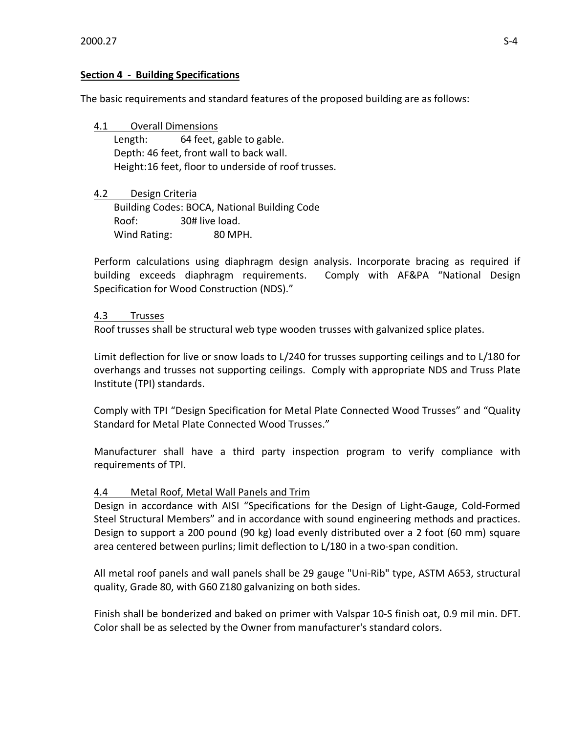### **Section 4 - Building Specifications**

The basic requirements and standard features of the proposed building are as follows:

4.1 Overall Dimensions Length: 64 feet, gable to gable. Depth: 46 feet, front wall to back wall. Height:16 feet, floor to underside of roof trusses.

4.2 Design Criteria Building Codes: BOCA, National Building Code Roof: 30# live load. Wind Rating: 80 MPH.

Perform calculations using diaphragm design analysis. Incorporate bracing as required if building exceeds diaphragm requirements. Comply with AF&PA "National Design Specification for Wood Construction (NDS)."

### 4.3 Trusses

Roof trusses shall be structural web type wooden trusses with galvanized splice plates.

Limit deflection for live or snow loads to L/240 for trusses supporting ceilings and to L/180 for overhangs and trusses not supporting ceilings. Comply with appropriate NDS and Truss Plate Institute (TPI) standards.

Comply with TPI "Design Specification for Metal Plate Connected Wood Trusses" and "Quality Standard for Metal Plate Connected Wood Trusses."

Manufacturer shall have a third party inspection program to verify compliance with requirements of TPI.

## 4.4 Metal Roof, Metal Wall Panels and Trim

Design in accordance with AISI "Specifications for the Design of Light-Gauge, Cold-Formed Steel Structural Members" and in accordance with sound engineering methods and practices. Design to support a 200 pound (90 kg) load evenly distributed over a 2 foot (60 mm) square area centered between purlins; limit deflection to L/180 in a two-span condition.

All metal roof panels and wall panels shall be 29 gauge "Uni-Rib" type, ASTM A653, structural quality, Grade 80, with G60 Z180 galvanizing on both sides.

Finish shall be bonderized and baked on primer with Valspar 10-S finish oat, 0.9 mil min. DFT. Color shall be as selected by the Owner from manufacturer's standard colors.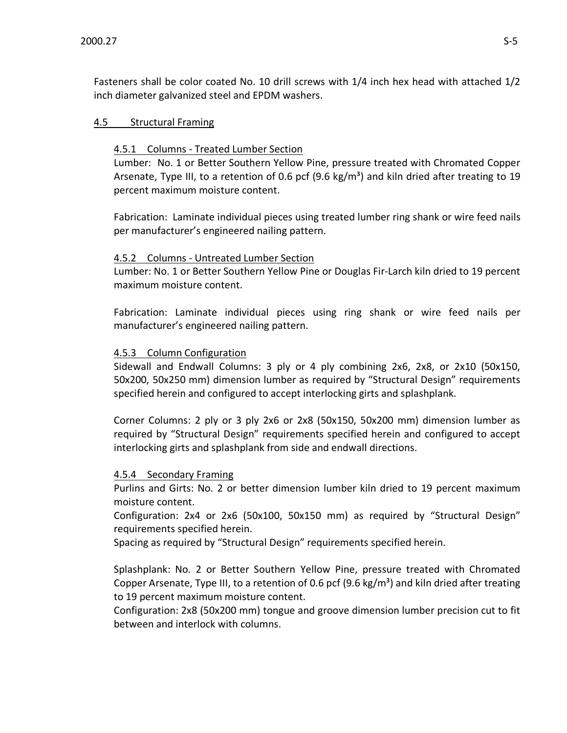Fasteners shall be color coated No. 10 drill screws with 1/4 inch hex head with attached 1/2 inch diameter galvanized steel and EPDM washers.

### 4.5 Structural Framing

#### 4.5.1 Columns - Treated Lumber Section

Lumber: No. 1 or Better Southern Yellow Pine, pressure treated with Chromated Copper Arsenate, Type III, to a retention of 0.6 pcf (9.6 kg/m<sup>3</sup>) and kiln dried after treating to 19 percent maximum moisture content.

Fabrication: Laminate individual pieces using treated lumber ring shank or wire feed nails per manufacturer's engineered nailing pattern.

#### 4.5.2 Columns - Untreated Lumber Section

Lumber: No. 1 or Better Southern Yellow Pine or Douglas Fir-Larch kiln dried to 19 percent maximum moisture content.

Fabrication: Laminate individual pieces using ring shank or wire feed nails per manufacturer's engineered nailing pattern.

### 4.5.3 Column Configuration

Sidewall and Endwall Columns: 3 ply or 4 ply combining 2x6, 2x8, or 2x10 (50x150, 50x200, 50x250 mm) dimension lumber as required by "Structural Design" requirements specified herein and configured to accept interlocking girts and splashplank.

Corner Columns: 2 ply or 3 ply 2x6 or 2x8 (50x150, 50x200 mm) dimension lumber as required by "Structural Design" requirements specified herein and configured to accept interlocking girts and splashplank from side and endwall directions.

### 4.5.4 Secondary Framing

Purlins and Girts: No. 2 or better dimension lumber kiln dried to 19 percent maximum moisture content.

Configuration: 2x4 or 2x6 (50x100, 50x150 mm) as required by "Structural Design" requirements specified herein.

Spacing as required by "Structural Design" requirements specified herein.

Splashplank: No. 2 or Better Southern Yellow Pine, pressure treated with Chromated Copper Arsenate, Type III, to a retention of 0.6 pcf (9.6 kg/m<sup>3</sup>) and kiln dried after treating to 19 percent maximum moisture content.

Configuration: 2x8 (50x200 mm) tongue and groove dimension lumber precision cut to fit between and interlock with columns.